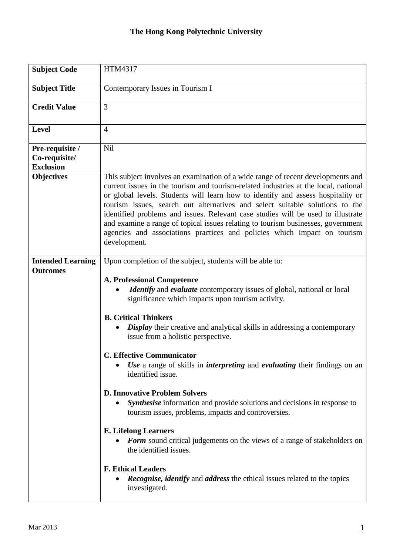## **The Hong Kong Polytechnic University**

| <b>Subject Code</b>                   | HTM4317                                                                                                                                                                                                                                                                                                                                                                                                                                                                                                                    |
|---------------------------------------|----------------------------------------------------------------------------------------------------------------------------------------------------------------------------------------------------------------------------------------------------------------------------------------------------------------------------------------------------------------------------------------------------------------------------------------------------------------------------------------------------------------------------|
| <b>Subject Title</b>                  | Contemporary Issues in Tourism I                                                                                                                                                                                                                                                                                                                                                                                                                                                                                           |
| <b>Credit Value</b>                   | 3                                                                                                                                                                                                                                                                                                                                                                                                                                                                                                                          |
| <b>Level</b>                          | $\overline{4}$                                                                                                                                                                                                                                                                                                                                                                                                                                                                                                             |
| Pre-requisite /                       | Nil                                                                                                                                                                                                                                                                                                                                                                                                                                                                                                                        |
| Co-requisite/                         |                                                                                                                                                                                                                                                                                                                                                                                                                                                                                                                            |
| <b>Exclusion</b><br><b>Objectives</b> | This subject involves an examination of a wide range of recent developments and                                                                                                                                                                                                                                                                                                                                                                                                                                            |
|                                       | current issues in the tourism and tourism-related industries at the local, national<br>or global levels. Students will learn how to identify and assess hospitality or<br>tourism issues, search out alternatives and select suitable solutions to the<br>identified problems and issues. Relevant case studies will be used to illustrate<br>and examine a range of topical issues relating to tourism businesses, government<br>agencies and associations practices and policies which impact on tourism<br>development. |
| <b>Intended Learning</b>              | Upon completion of the subject, students will be able to:                                                                                                                                                                                                                                                                                                                                                                                                                                                                  |
| <b>Outcomes</b>                       |                                                                                                                                                                                                                                                                                                                                                                                                                                                                                                                            |
|                                       | <b>A. Professional Competence</b><br>Identify and evaluate contemporary issues of global, national or local<br>significance which impacts upon tourism activity.                                                                                                                                                                                                                                                                                                                                                           |
|                                       | <b>B. Critical Thinkers</b>                                                                                                                                                                                                                                                                                                                                                                                                                                                                                                |
|                                       | <b>Display</b> their creative and analytical skills in addressing a contemporary<br>issue from a holistic perspective.                                                                                                                                                                                                                                                                                                                                                                                                     |
|                                       | <b>C. Effective Communicator</b>                                                                                                                                                                                                                                                                                                                                                                                                                                                                                           |
|                                       | Use a range of skills in <i>interpreting</i> and <i>evaluating</i> their findings on an<br>identified issue.                                                                                                                                                                                                                                                                                                                                                                                                               |
|                                       | <b>D. Innovative Problem Solvers</b><br>Synthesise information and provide solutions and decisions in response to<br>tourism issues, problems, impacts and controversies.                                                                                                                                                                                                                                                                                                                                                  |
|                                       | <b>E. Lifelong Learners</b><br><b>Form</b> sound critical judgements on the views of a range of stakeholders on<br>the identified issues.                                                                                                                                                                                                                                                                                                                                                                                  |
|                                       | <b>F. Ethical Leaders</b><br><b>Recognise, identify</b> and <i>address</i> the ethical issues related to the topics<br>investigated.                                                                                                                                                                                                                                                                                                                                                                                       |